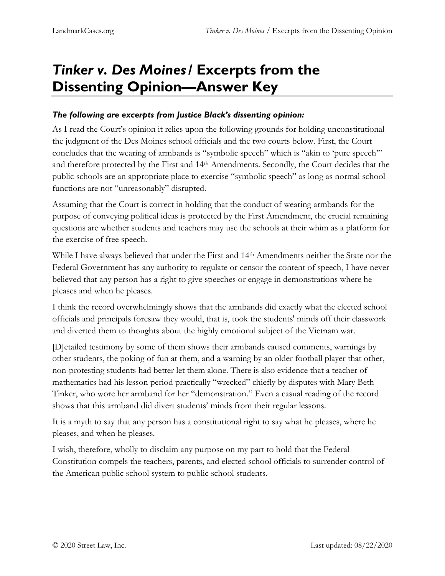## *Tinker v. Des Moines***/ Excerpts from the Dissenting Opinion—Answer Key**

## *The following are excerpts from Justice Black's dissenting opinion:*

As I read the Court's opinion it relies upon the following grounds for holding unconstitutional the judgment of the Des Moines school officials and the two courts below. First, the Court concludes that the wearing of armbands is "symbolic speech" which is "akin to 'pure speech'" and therefore protected by the First and 14th Amendments. Secondly, the Court decides that the public schools are an appropriate place to exercise "symbolic speech" as long as normal school functions are not "unreasonably" disrupted.

Assuming that the Court is correct in holding that the conduct of wearing armbands for the purpose of conveying political ideas is protected by the First Amendment, the crucial remaining questions are whether students and teachers may use the schools at their whim as a platform for the exercise of free speech.

While I have always believed that under the First and 14th Amendments neither the State nor the Federal Government has any authority to regulate or censor the content of speech, I have never believed that any person has a right to give speeches or engage in demonstrations where he pleases and when he pleases.

I think the record overwhelmingly shows that the armbands did exactly what the elected school officials and principals foresaw they would, that is, took the students' minds off their classwork and diverted them to thoughts about the highly emotional subject of the Vietnam war.

[D]etailed testimony by some of them shows their armbands caused comments, warnings by other students, the poking of fun at them, and a warning by an older football player that other, non-protesting students had better let them alone. There is also evidence that a teacher of mathematics had his lesson period practically "wrecked" chiefly by disputes with Mary Beth Tinker, who wore her armband for her "demonstration." Even a casual reading of the record shows that this armband did divert students' minds from their regular lessons.

It is a myth to say that any person has a constitutional right to say what he pleases, where he pleases, and when he pleases.

I wish, therefore, wholly to disclaim any purpose on my part to hold that the Federal Constitution compels the teachers, parents, and elected school officials to surrender control of the American public school system to public school students.